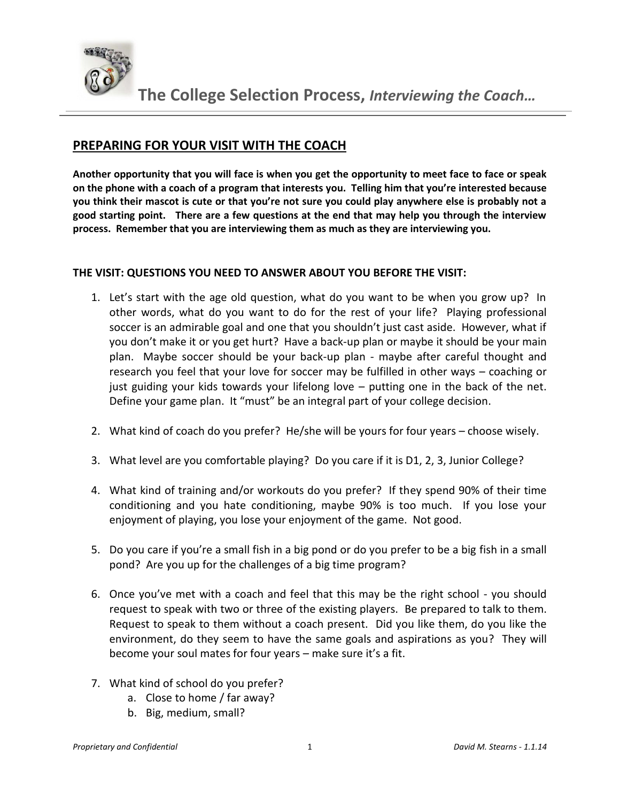

## **PREPARING FOR YOUR VISIT WITH THE COACH**

**Another opportunity that you will face is when you get the opportunity to meet face to face or speak on the phone with a coach of a program that interests you. Telling him that you're interested because you think their mascot is cute or that you're not sure you could play anywhere else is probably not a good starting point. There are a few questions at the end that may help you through the interview process. Remember that you are interviewing them as much as they are interviewing you.**

## **THE VISIT: QUESTIONS YOU NEED TO ANSWER ABOUT YOU BEFORE THE VISIT:**

- 1. Let's start with the age old question, what do you want to be when you grow up? In other words, what do you want to do for the rest of your life? Playing professional soccer is an admirable goal and one that you shouldn't just cast aside. However, what if you don't make it or you get hurt? Have a back-up plan or maybe it should be your main plan. Maybe soccer should be your back-up plan - maybe after careful thought and research you feel that your love for soccer may be fulfilled in other ways – coaching or just guiding your kids towards your lifelong love – putting one in the back of the net. Define your game plan. It "must" be an integral part of your college decision.
- 2. What kind of coach do you prefer? He/she will be yours for four years choose wisely.
- 3. What level are you comfortable playing? Do you care if it is D1, 2, 3, Junior College?
- 4. What kind of training and/or workouts do you prefer? If they spend 90% of their time conditioning and you hate conditioning, maybe 90% is too much. If you lose your enjoyment of playing, you lose your enjoyment of the game. Not good.
- 5. Do you care if you're a small fish in a big pond or do you prefer to be a big fish in a small pond? Are you up for the challenges of a big time program?
- 6. Once you've met with a coach and feel that this may be the right school you should request to speak with two or three of the existing players. Be prepared to talk to them. Request to speak to them without a coach present. Did you like them, do you like the environment, do they seem to have the same goals and aspirations as you? They will become your soul mates for four years – make sure it's a fit.
- 7. What kind of school do you prefer?
	- a. Close to home / far away?
	- b. Big, medium, small?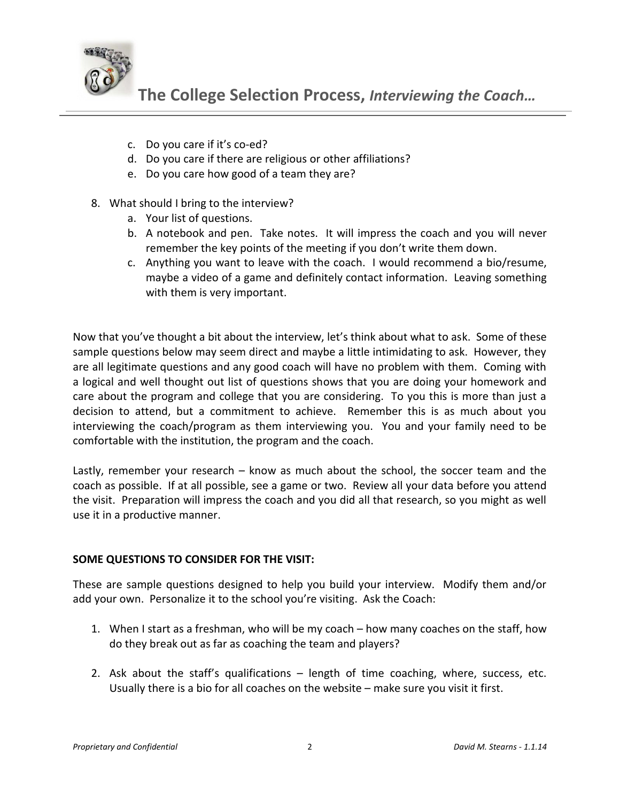

- c. Do you care if it's co-ed?
- d. Do you care if there are religious or other affiliations?
- e. Do you care how good of a team they are?
- 8. What should I bring to the interview?
	- a. Your list of questions.
	- b. A notebook and pen. Take notes. It will impress the coach and you will never remember the key points of the meeting if you don't write them down.
	- c. Anything you want to leave with the coach. I would recommend a bio/resume, maybe a video of a game and definitely contact information. Leaving something with them is very important.

Now that you've thought a bit about the interview, let's think about what to ask. Some of these sample questions below may seem direct and maybe a little intimidating to ask. However, they are all legitimate questions and any good coach will have no problem with them. Coming with a logical and well thought out list of questions shows that you are doing your homework and care about the program and college that you are considering. To you this is more than just a decision to attend, but a commitment to achieve. Remember this is as much about you interviewing the coach/program as them interviewing you. You and your family need to be comfortable with the institution, the program and the coach.

Lastly, remember your research – know as much about the school, the soccer team and the coach as possible. If at all possible, see a game or two. Review all your data before you attend the visit. Preparation will impress the coach and you did all that research, so you might as well use it in a productive manner.

## **SOME QUESTIONS TO CONSIDER FOR THE VISIT:**

These are sample questions designed to help you build your interview. Modify them and/or add your own. Personalize it to the school you're visiting. Ask the Coach:

- 1. When I start as a freshman, who will be my coach how many coaches on the staff, how do they break out as far as coaching the team and players?
- 2. Ask about the staff's qualifications length of time coaching, where, success, etc. Usually there is a bio for all coaches on the website – make sure you visit it first.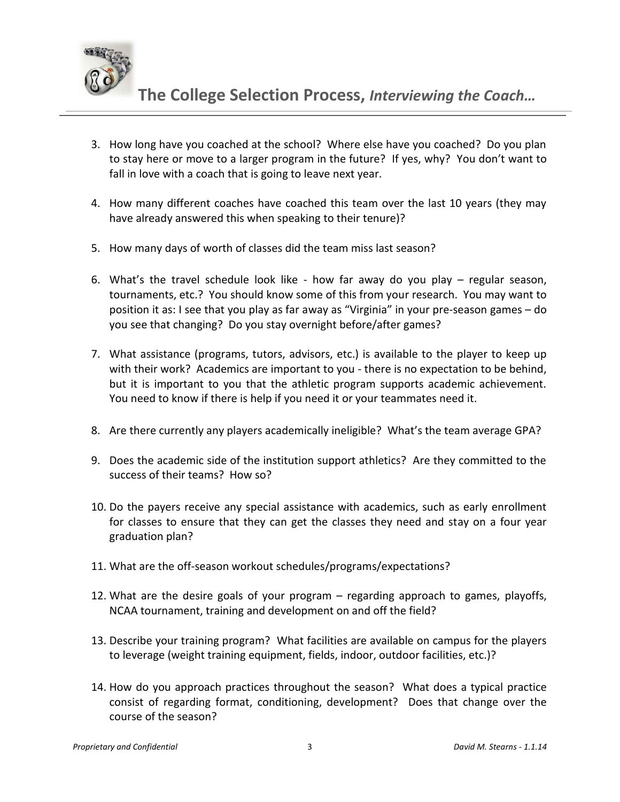

- 3. How long have you coached at the school? Where else have you coached? Do you plan to stay here or move to a larger program in the future? If yes, why? You don't want to fall in love with a coach that is going to leave next year.
- 4. How many different coaches have coached this team over the last 10 years (they may have already answered this when speaking to their tenure)?
- 5. How many days of worth of classes did the team miss last season?
- 6. What's the travel schedule look like how far away do you play regular season, tournaments, etc.? You should know some of this from your research. You may want to position it as: I see that you play as far away as "Virginia" in your pre-season games – do you see that changing? Do you stay overnight before/after games?
- 7. What assistance (programs, tutors, advisors, etc.) is available to the player to keep up with their work? Academics are important to you - there is no expectation to be behind, but it is important to you that the athletic program supports academic achievement. You need to know if there is help if you need it or your teammates need it.
- 8. Are there currently any players academically ineligible? What's the team average GPA?
- 9. Does the academic side of the institution support athletics? Are they committed to the success of their teams? How so?
- 10. Do the payers receive any special assistance with academics, such as early enrollment for classes to ensure that they can get the classes they need and stay on a four year graduation plan?
- 11. What are the off-season workout schedules/programs/expectations?
- 12. What are the desire goals of your program regarding approach to games, playoffs, NCAA tournament, training and development on and off the field?
- 13. Describe your training program? What facilities are available on campus for the players to leverage (weight training equipment, fields, indoor, outdoor facilities, etc.)?
- 14. How do you approach practices throughout the season? What does a typical practice consist of regarding format, conditioning, development? Does that change over the course of the season?